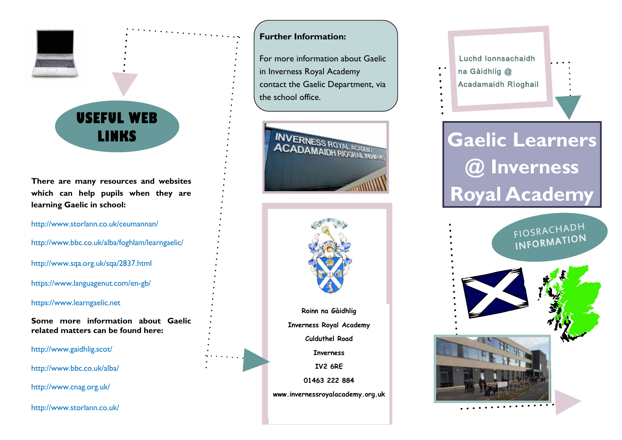

**There are many resources and websites which can help pupils when they are learning Gaelic in school:**

<http://www.storlann.co.uk/ceumannan/>

<http://www.bbc.co.uk/alba/foghlam/learngaelic/>

<http://www.sqa.org.uk/sqa/2837.html>

https://www.languagenut.com/en-gb/

https://www.learngaelic.net

**Some more information about Gaelic related matters can be found here:**

[http://www.gaidhlig.scot/](http://www.gaidhlig.org.uk/)

<http://www.bbc.co.uk/alba/>

<http://www.cnag.org.uk/>

<http://www.storlann.co.uk/>

### **Further Information:**

For more information about Gaelic in Inverness Royal Academy contact the Gaelic Department, via the school office.





**Inverness IV2 6RE 01463 222 884**

**www.invernessroyalacademy.org.uk**



# LINKS **EXAMPLE ACADAMAIDH RIGHAN Gaelic Learners @ Inverness Royal Academy**